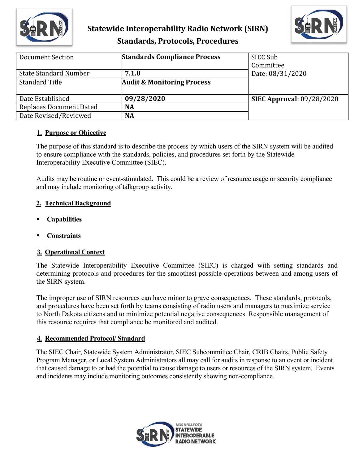

# **Statewide Interoperability Radio Network (SIRN) Standards, Protocols, Procedures**



| Document Section               | <b>Standards Compliance Process</b>   | SIEC Sub<br>Committee            |
|--------------------------------|---------------------------------------|----------------------------------|
| <b>State Standard Number</b>   | 7.1.0                                 | Date: 08/31/2020                 |
| <b>Standard Title</b>          | <b>Audit &amp; Monitoring Process</b> |                                  |
| Date Established               | 09/28/2020                            | <b>SIEC Approval: 09/28/2020</b> |
| <b>Replaces Document Dated</b> | <b>NA</b>                             |                                  |
| Date Revised/Reviewed          | <b>NA</b>                             |                                  |

#### **1. Purpose or Objective**

The purpose of this standard is to describe the process by which users of the SIRN system will be audited to ensure compliance with the standards, policies, and procedures set forth by the Statewide Interoperability Executive Committee (SIEC).

Audits may be routine or event-stimulated. This could be a review of resource usage or security compliance and may include monitoring of talkgroup activity.

## **2. Technical Background**

- **Capabilities**
- **Constraints**

## **3. Operational Context**

The Statewide Interoperability Executive Committee (SIEC) is charged with setting standards and determining protocols and procedures for the smoothest possible operations between and among users of the SIRN system.

The improper use of SIRN resources can have minor to grave consequences. These standards, protocols, and procedures have been set forth by teams consisting of radio users and managers to maximize service to North Dakota citizens and to minimize potential negative consequences. Responsible management of this resource requires that compliance be monitored and audited.

## **4. Recommended Protocol/ Standard**

The SIEC Chair, Statewide System Administrator, SIEC Subcommittee Chair, CRIB Chairs, Public Safety Program Manager, or Local System Administrators all may call for audits in response to an event or incident that caused damage to or had the potential to cause damage to users or resources of the SIRN system. Events and incidents may include monitoring outcomes consistently showing non-compliance.